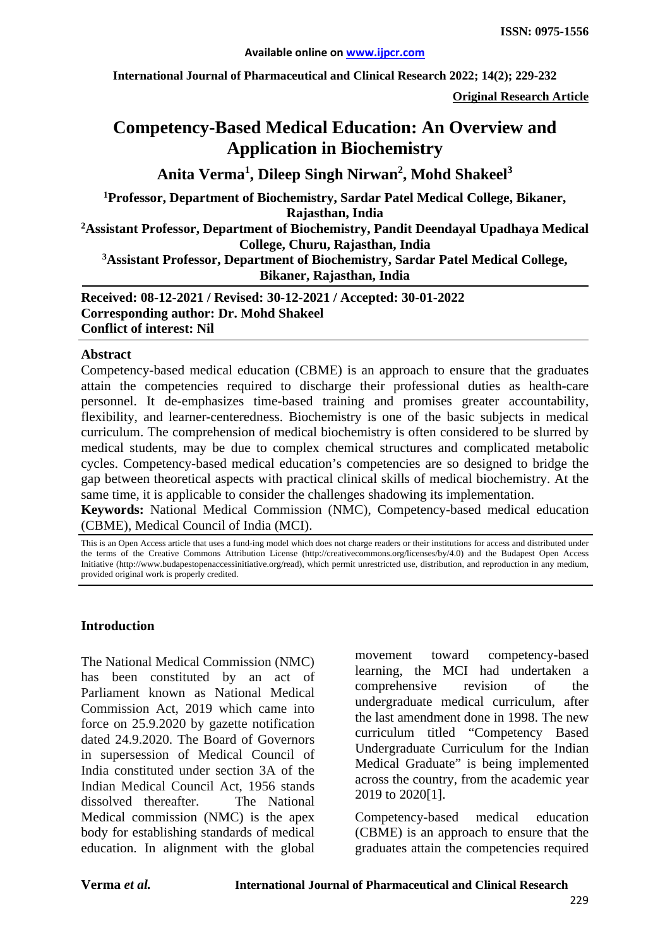**International Journal of Pharmaceutical and Clinical Research 2022; 14(2); 229-232**

**Original Research Article**

# **Competency-Based Medical Education: An Overview and Application in Biochemistry**

**Anita Verma<sup>1</sup> , Dileep Singh Nirwan<sup>2</sup> , Mohd Shakeel<sup>3</sup>**

**1 Professor, Department of Biochemistry, Sardar Patel Medical College, Bikaner, Rajasthan, India**

**2 Assistant Professor, Department of Biochemistry, Pandit Deendayal Upadhaya Medical College, Churu, Rajasthan, India**

**3 Assistant Professor, Department of Biochemistry, Sardar Patel Medical College, Bikaner, Rajasthan, India**

**Received: 08-12-2021 / Revised: 30-12-2021 / Accepted: 30-01-2022 Corresponding author: Dr. Mohd Shakeel Conflict of interest: Nil**

#### **Abstract**

Competency-based medical education (CBME) is an approach to ensure that the graduates attain the competencies required to discharge their professional duties as health-care personnel. It de-emphasizes time-based training and promises greater accountability, flexibility, and learner-centeredness. Biochemistry is one of the basic subjects in medical curriculum. The comprehension of medical biochemistry is often considered to be slurred by medical students, may be due to complex chemical structures and complicated metabolic cycles. Competency-based medical education's competencies are so designed to bridge the gap between theoretical aspects with practical clinical skills of medical biochemistry. At the same time, it is applicable to consider the challenges shadowing its implementation.

**Keywords:** National Medical Commission (NMC), Competency-based medical education (CBME), Medical Council of India (MCI).

This is an Open Access article that uses a fund-ing model which does not charge readers or their institutions for access and distributed under the terms of the Creative Commons Attribution License (http://creativecommons.org/licenses/by/4.0) and the Budapest Open Access Initiative (http://www.budapestopenaccessinitiative.org/read), which permit unrestricted use, distribution, and reproduction in any medium, provided original work is properly credited.

#### **Introduction**

The National Medical Commission (NMC) has been constituted by an act of Parliament known as National Medical Commission Act, 2019 which came into force on 25.9.2020 by gazette notification dated 24.9.2020. The Board of Governors in supersession of Medical Council of India constituted under section 3A of the Indian Medical Council Act, 1956 stands dissolved thereafter. The National Medical commission (NMC) is the apex body for establishing standards of medical education. In alignment with the global

movement toward competency-based learning, the MCI had undertaken a comprehensive revision of the undergraduate medical curriculum, after the last amendment done in 1998. The new curriculum titled "Competency Based Undergraduate Curriculum for the Indian Medical Graduate" is being implemented across the country, from the academic year 2019 to 2020[1].

Competency-based medical education (CBME) is an approach to ensure that the graduates attain the competencies required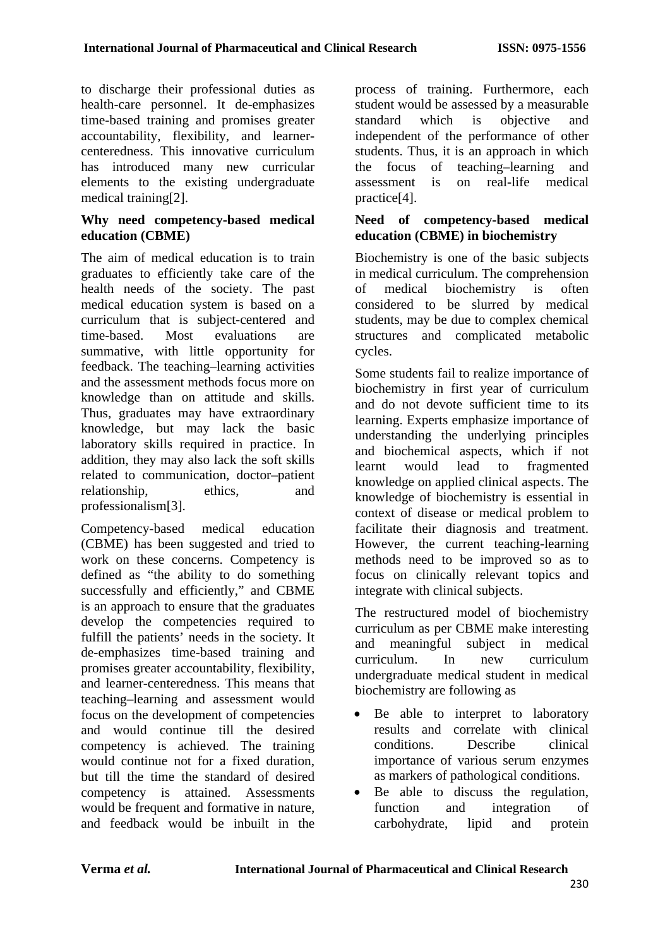to discharge their professional duties as health-care personnel. It de-emphasizes time-based training and promises greater accountability, flexibility, and learnercenteredness. This innovative curriculum has introduced many new curricular elements to the existing undergraduate medical training[2].

#### **Why need competency-based medical education (CBME)**

The aim of medical education is to train graduates to efficiently take care of the health needs of the society. The past medical education system is based on a curriculum that is subject-centered and time-based. Most evaluations are summative, with little opportunity for feedback. The teaching–learning activities and the assessment methods focus more on knowledge than on attitude and skills. Thus, graduates may have extraordinary knowledge, but may lack the basic laboratory skills required in practice. In addition, they may also lack the soft skills related to communication, doctor–patient relationship, ethics, and professionalism[3].

Competency-based medical education (CBME) has been suggested and tried to work on these concerns. Competency is defined as "the ability to do something successfully and efficiently," and CBME is an approach to ensure that the graduates develop the competencies required to fulfill the patients' needs in the society. It de-emphasizes time-based training and promises greater accountability, flexibility, and learner-centeredness. This means that teaching–learning and assessment would focus on the development of competencies and would continue till the desired competency is achieved. The training would continue not for a fixed duration, but till the time the standard of desired competency is attained. Assessments would be frequent and formative in nature. and feedback would be inbuilt in the

process of training. Furthermore, each student would be assessed by a measurable standard which is objective and independent of the performance of other students. Thus, it is an approach in which the focus of teaching–learning and assessment is on real-life medical practice[4].

### **Need of competency-based medical education (CBME) in biochemistry**

Biochemistry is one of the basic subjects in medical curriculum. The comprehension of medical biochemistry is often considered to be slurred by medical students, may be due to complex chemical structures and complicated metabolic cycles.

Some students fail to realize importance of biochemistry in first year of curriculum and do not devote sufficient time to its learning. Experts emphasize importance of understanding the underlying principles and biochemical aspects, which if not learnt would lead to fragmented knowledge on applied clinical aspects. The knowledge of biochemistry is essential in context of disease or medical problem to facilitate their diagnosis and treatment. However, the current teaching-learning methods need to be improved so as to focus on clinically relevant topics and integrate with clinical subjects.

The restructured model of biochemistry curriculum as per CBME make interesting and meaningful subject in medical curriculum. In new curriculum undergraduate medical student in medical biochemistry are following as

- Be able to interpret to laboratory results and correlate with clinical conditions. Describe clinical importance of various serum enzymes as markers of pathological conditions.
- Be able to discuss the regulation, function and integration of carbohydrate, lipid and protein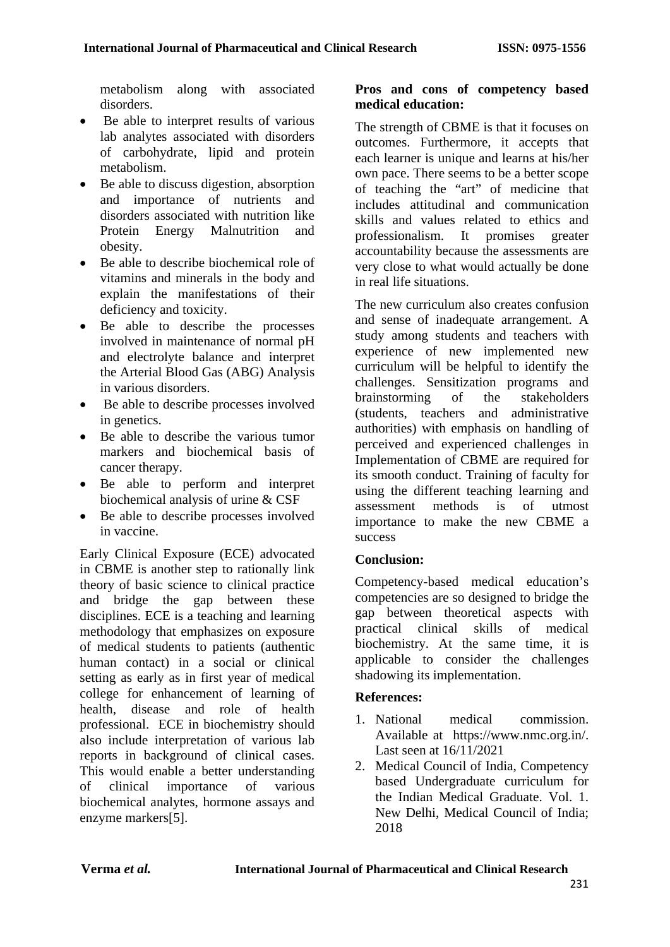metabolism along with associated disorders.

- Be able to interpret results of various lab analytes associated with disorders of carbohydrate, lipid and protein metabolism.
- Be able to discuss digestion, absorption and importance of nutrients and disorders associated with nutrition like Protein Energy Malnutrition and obesity.
- Be able to describe biochemical role of vitamins and minerals in the body and explain the manifestations of their deficiency and toxicity.
- Be able to describe the processes involved in maintenance of normal pH and electrolyte balance and interpret the Arterial Blood Gas (ABG) Analysis in various disorders.
- Be able to describe processes involved in genetics.
- Be able to describe the various tumor markers and biochemical basis of cancer therapy.
- Be able to perform and interpret biochemical analysis of urine & CSF
- Be able to describe processes involved in vaccine.

Early Clinical Exposure (ECE) advocated in CBME is another step to rationally link theory of basic science to clinical practice and bridge the gap between these disciplines. ECE is a teaching and learning methodology that emphasizes on exposure of medical students to patients (authentic human contact) in a social or clinical setting as early as in first year of medical college for enhancement of learning of health, disease and role of health professional. ECE in biochemistry should also include interpretation of various lab reports in background of clinical cases. This would enable a better understanding of clinical importance of various biochemical analytes, hormone assays and enzyme markers[5].

#### **Pros and cons of competency based medical education:**

The strength of CBME is that it focuses on outcomes. Furthermore, it accepts that each learner is unique and learns at his/her own pace. There seems to be a better scope of teaching the "art" of medicine that includes attitudinal and communication skills and values related to ethics and professionalism. It promises greater accountability because the assessments are very close to what would actually be done in real life situations.

The new curriculum also creates confusion and sense of inadequate arrangement. A study among students and teachers with experience of new implemented new curriculum will be helpful to identify the challenges. Sensitization programs and brainstorming of the stakeholders (students, teachers and administrative authorities) with emphasis on handling of perceived and experienced challenges in Implementation of CBME are required for its smooth conduct. Training of faculty for using the different teaching learning and assessment methods is of utmost importance to make the new CBME a success

## **Conclusion:**

Competency-based medical education's competencies are so designed to bridge the gap between theoretical aspects with practical clinical skills of medical biochemistry. At the same time, it is applicable to consider the challenges shadowing its implementation.

## **References:**

- 1. National medical commission. Available at [https://www.nmc.org.in/.](https://www.nmc.org.in/) Last seen at 16/11/2021
- 2. Medical Council of India, Competency based Undergraduate curriculum for the Indian Medical Graduate. Vol. 1. New Delhi, Medical Council of India; 2018